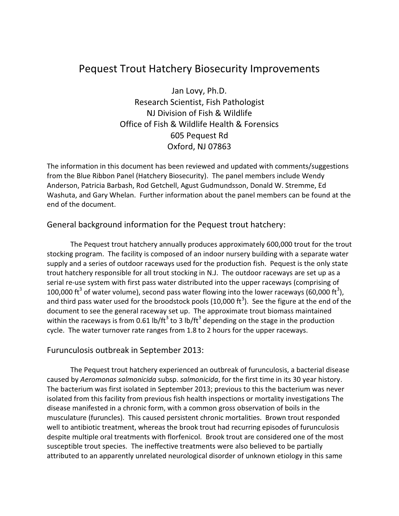# Pequest Trout Hatchery Biosecurity Improvements

Jan Lovy, Ph.D. Research Scientist, Fish Pathologist NJ Division of Fish & Wildlife Office of Fish & Wildlife Health & Forensics 605 Pequest Rd Oxford, NJ 07863

The information in this document has been reviewed and updated with comments/suggestions from the Blue Ribbon Panel (Hatchery Biosecurity). The panel members include Wendy Anderson, Patricia Barbash, Rod Getchell, Agust Gudmundsson, Donald W. Stremme, Ed Washuta, and Gary Whelan. Further information about the panel members can be found at the end of the document.

#### General background information for the Pequest trout hatchery:

 The Pequest trout hatchery annually produces approximately 600,000 trout for the trout stocking program. The facility is composed of an indoor nursery building with a separate water supply and a series of outdoor raceways used for the production fish. Pequest is the only state trout hatchery responsible for all trout stocking in N.J. The outdoor raceways are set up as a serial re-use system with first pass water distributed into the upper raceways (comprising of 100,000 ft<sup>3</sup> of water volume), second pass water flowing into the lower raceways (60,000 ft<sup>3</sup>), and third pass water used for the broodstock pools (10,000 ft<sup>3</sup>). See the figure at the end of the document to see the general raceway set up. The approximate trout biomass maintained within the raceways is from 0.61 lb/ft<sup>3</sup> to 3 lb/ft<sup>3</sup> depending on the stage in the production cycle. The water turnover rate ranges from 1.8 to 2 hours for the upper raceways.

#### Furunculosis outbreak in September 2013:

The Pequest trout hatchery experienced an outbreak of furunculosis, a bacterial disease caused by *Aeromonas salmonicida* subsp. *salmonicida*, for the first time in its 30 year history. The bacterium was first isolated in September 2013; previous to this the bacterium was never isolated from this facility from previous fish health inspections or mortality investigations The disease manifested in a chronic form, with a common gross observation of boils in the musculature (furuncles). This caused persistent chronic mortalities. Brown trout responded well to antibiotic treatment, whereas the brook trout had recurring episodes of furunculosis despite multiple oral treatments with florfenicol. Brook trout are considered one of the most susceptible trout species. The ineffective treatments were also believed to be partially attributed to an apparently unrelated neurological disorder of unknown etiology in this same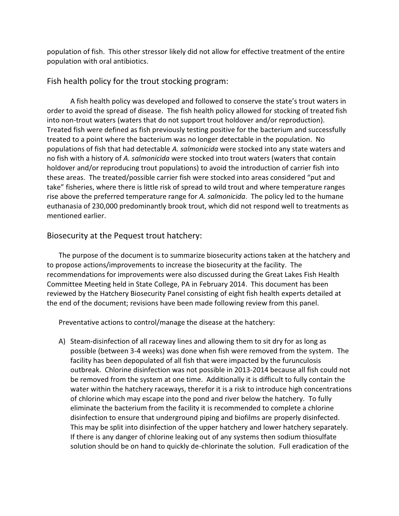population of fish. This other stressor likely did not allow for effective treatment of the entire population with oral antibiotics.

#### Fish health policy for the trout stocking program:

A fish health policy was developed and followed to conserve the state's trout waters in order to avoid the spread of disease. The fish health policy allowed for stocking of treated fish into non-trout waters (waters that do not support trout holdover and/or reproduction). Treated fish were defined as fish previously testing positive for the bacterium and successfully treated to a point where the bacterium was no longer detectable in the population. No populations of fish that had detectable *A. salmonicida* were stocked into any state waters and no fish with a history of *A. salmonicida* were stocked into trout waters (waters that contain holdover and/or reproducing trout populations) to avoid the introduction of carrier fish into these areas. The treated/possible carrier fish were stocked into areas considered "put and take" fisheries, where there is little risk of spread to wild trout and where temperature ranges rise above the preferred temperature range for *A. salmonicida*. The policy led to the humane euthanasia of 230,000 predominantly brook trout, which did not respond well to treatments as mentioned earlier.

### Biosecurity at the Pequest trout hatchery:

The purpose of the document is to summarize biosecurity actions taken at the hatchery and to propose actions/improvements to increase the biosecurity at the facility. The recommendations for improvements were also discussed during the Great Lakes Fish Health Committee Meeting held in State College, PA in February 2014. This document has been reviewed by the Hatchery Biosecurity Panel consisting of eight fish health experts detailed at the end of the document; revisions have been made following review from this panel.

Preventative actions to control/manage the disease at the hatchery:

A) Steam-disinfection of all raceway lines and allowing them to sit dry for as long as possible (between 3-4 weeks) was done when fish were removed from the system. The facility has been depopulated of all fish that were impacted by the furunculosis outbreak. Chlorine disinfection was not possible in 2013-2014 because all fish could not be removed from the system at one time. Additionally it is difficult to fully contain the water within the hatchery raceways, therefor it is a risk to introduce high concentrations of chlorine which may escape into the pond and river below the hatchery. To fully eliminate the bacterium from the facility it is recommended to complete a chlorine disinfection to ensure that underground piping and biofilms are properly disinfected. This may be split into disinfection of the upper hatchery and lower hatchery separately. If there is any danger of chlorine leaking out of any systems then sodium thiosulfate solution should be on hand to quickly de-chlorinate the solution. Full eradication of the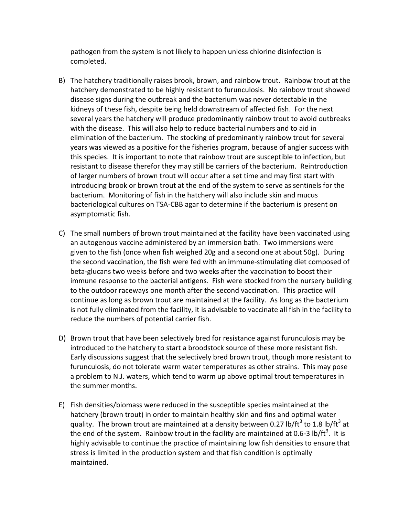pathogen from the system is not likely to happen unless chlorine disinfection is completed.

- B) The hatchery traditionally raises brook, brown, and rainbow trout. Rainbow trout at the hatchery demonstrated to be highly resistant to furunculosis. No rainbow trout showed disease signs during the outbreak and the bacterium was never detectable in the kidneys of these fish, despite being held downstream of affected fish. For the next several years the hatchery will produce predominantly rainbow trout to avoid outbreaks with the disease. This will also help to reduce bacterial numbers and to aid in elimination of the bacterium. The stocking of predominantly rainbow trout for several years was viewed as a positive for the fisheries program, because of angler success with this species. It is important to note that rainbow trout are susceptible to infection, but resistant to disease therefor they may still be carriers of the bacterium. Reintroduction of larger numbers of brown trout will occur after a set time and may first start with introducing brook or brown trout at the end of the system to serve as sentinels for the bacterium. Monitoring of fish in the hatchery will also include skin and mucus bacteriological cultures on TSA-CBB agar to determine if the bacterium is present on asymptomatic fish.
- C) The small numbers of brown trout maintained at the facility have been vaccinated using an autogenous vaccine administered by an immersion bath. Two immersions were given to the fish (once when fish weighed 20g and a second one at about 50g). During the second vaccination, the fish were fed with an immune-stimulating diet composed of beta-glucans two weeks before and two weeks after the vaccination to boost their immune response to the bacterial antigens. Fish were stocked from the nursery building to the outdoor raceways one month after the second vaccination. This practice will continue as long as brown trout are maintained at the facility. As long as the bacterium is not fully eliminated from the facility, it is advisable to vaccinate all fish in the facility to reduce the numbers of potential carrier fish.
- D) Brown trout that have been selectively bred for resistance against furunculosis may be introduced to the hatchery to start a broodstock source of these more resistant fish. Early discussions suggest that the selectively bred brown trout, though more resistant to furunculosis, do not tolerate warm water temperatures as other strains. This may pose a problem to N.J. waters, which tend to warm up above optimal trout temperatures in the summer months.
- E) Fish densities/biomass were reduced in the susceptible species maintained at the hatchery (brown trout) in order to maintain healthy skin and fins and optimal water quality. The brown trout are maintained at a density between 0.27 lb/ft<sup>3</sup> to 1.8 lb/ft<sup>3</sup> at the end of the system. Rainbow trout in the facility are maintained at 0.6-3 lb/ft<sup>3</sup>. It is highly advisable to continue the practice of maintaining low fish densities to ensure that stress is limited in the production system and that fish condition is optimally maintained.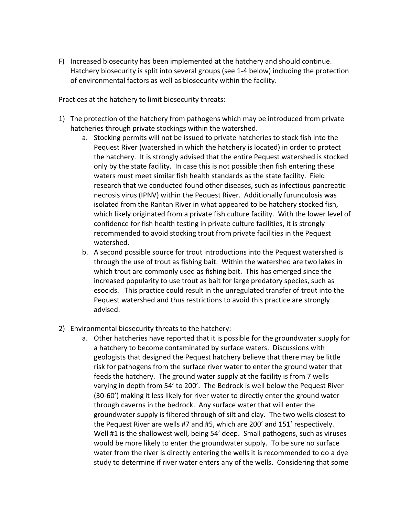F) Increased biosecurity has been implemented at the hatchery and should continue. Hatchery biosecurity is split into several groups (see 1-4 below) including the protection of environmental factors as well as biosecurity within the facility.

Practices at the hatchery to limit biosecurity threats:

- 1) The protection of the hatchery from pathogens which may be introduced from private hatcheries through private stockings within the watershed.
	- a. Stocking permits will not be issued to private hatcheries to stock fish into the Pequest River (watershed in which the hatchery is located) in order to protect the hatchery. It is strongly advised that the entire Pequest watershed is stocked only by the state facility. In case this is not possible then fish entering these waters must meet similar fish health standards as the state facility. Field research that we conducted found other diseases, such as infectious pancreatic necrosis virus (IPNV) within the Pequest River. Additionally furunculosis was isolated from the Raritan River in what appeared to be hatchery stocked fish, which likely originated from a private fish culture facility. With the lower level of confidence for fish health testing in private culture facilities, it is strongly recommended to avoid stocking trout from private facilities in the Pequest watershed.
	- b. A second possible source for trout introductions into the Pequest watershed is through the use of trout as fishing bait. Within the watershed are two lakes in which trout are commonly used as fishing bait. This has emerged since the increased popularity to use trout as bait for large predatory species, such as esocids. This practice could result in the unregulated transfer of trout into the Pequest watershed and thus restrictions to avoid this practice are strongly advised.
- 2) Environmental biosecurity threats to the hatchery:
	- a. Other hatcheries have reported that it is possible for the groundwater supply for a hatchery to become contaminated by surface waters. Discussions with geologists that designed the Pequest hatchery believe that there may be little risk for pathogens from the surface river water to enter the ground water that feeds the hatchery. The ground water supply at the facility is from 7 wells varying in depth from 54' to 200'. The Bedrock is well below the Pequest River (30-60') making it less likely for river water to directly enter the ground water through caverns in the bedrock. Any surface water that will enter the groundwater supply is filtered through of silt and clay. The two wells closest to the Pequest River are wells #7 and #5, which are 200' and 151' respectively. Well #1 is the shallowest well, being 54' deep. Small pathogens, such as viruses would be more likely to enter the groundwater supply. To be sure no surface water from the river is directly entering the wells it is recommended to do a dye study to determine if river water enters any of the wells. Considering that some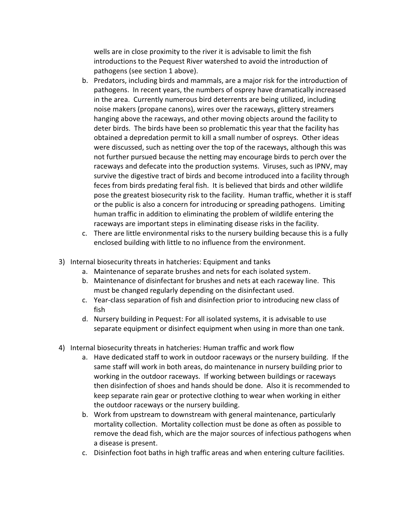wells are in close proximity to the river it is advisable to limit the fish introductions to the Pequest River watershed to avoid the introduction of pathogens (see section 1 above).

- b. Predators, including birds and mammals, are a major risk for the introduction of pathogens. In recent years, the numbers of osprey have dramatically increased in the area. Currently numerous bird deterrents are being utilized, including noise makers (propane canons), wires over the raceways, glittery streamers hanging above the raceways, and other moving objects around the facility to deter birds. The birds have been so problematic this year that the facility has obtained a depredation permit to kill a small number of ospreys. Other ideas were discussed, such as netting over the top of the raceways, although this was not further pursued because the netting may encourage birds to perch over the raceways and defecate into the production systems. Viruses, such as IPNV, may survive the digestive tract of birds and become introduced into a facility through feces from birds predating feral fish. It is believed that birds and other wildlife pose the greatest biosecurity risk to the facility. Human traffic, whether it is staff or the public is also a concern for introducing or spreading pathogens. Limiting human traffic in addition to eliminating the problem of wildlife entering the raceways are important steps in eliminating disease risks in the facility.
- c. There are little environmental risks to the nursery building because this is a fully enclosed building with little to no influence from the environment.
- 3) Internal biosecurity threats in hatcheries: Equipment and tanks
	- a. Maintenance of separate brushes and nets for each isolated system.
	- b. Maintenance of disinfectant for brushes and nets at each raceway line. This must be changed regularly depending on the disinfectant used.
	- c. Year-class separation of fish and disinfection prior to introducing new class of fish
	- d. Nursery building in Pequest: For all isolated systems, it is advisable to use separate equipment or disinfect equipment when using in more than one tank.
- 4) Internal biosecurity threats in hatcheries: Human traffic and work flow
	- a. Have dedicated staff to work in outdoor raceways or the nursery building. If the same staff will work in both areas, do maintenance in nursery building prior to working in the outdoor raceways. If working between buildings or raceways then disinfection of shoes and hands should be done. Also it is recommended to keep separate rain gear or protective clothing to wear when working in either the outdoor raceways or the nursery building.
	- b. Work from upstream to downstream with general maintenance, particularly mortality collection. Mortality collection must be done as often as possible to remove the dead fish, which are the major sources of infectious pathogens when a disease is present.
	- c. Disinfection foot baths in high traffic areas and when entering culture facilities.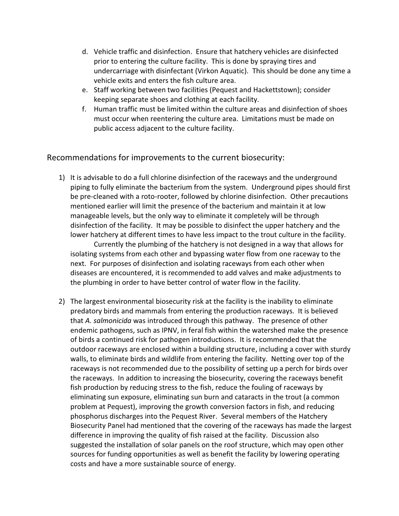- d. Vehicle traffic and disinfection. Ensure that hatchery vehicles are disinfected prior to entering the culture facility. This is done by spraying tires and undercarriage with disinfectant (Virkon Aquatic). This should be done any time a vehicle exits and enters the fish culture area.
- e. Staff working between two facilities (Pequest and Hackettstown); consider keeping separate shoes and clothing at each facility.
- f. Human traffic must be limited within the culture areas and disinfection of shoes must occur when reentering the culture area. Limitations must be made on public access adjacent to the culture facility.

Recommendations for improvements to the current biosecurity:

1) It is advisable to do a full chlorine disinfection of the raceways and the underground piping to fully eliminate the bacterium from the system. Underground pipes should first be pre-cleaned with a roto-rooter, followed by chlorine disinfection. Other precautions mentioned earlier will limit the presence of the bacterium and maintain it at low manageable levels, but the only way to eliminate it completely will be through disinfection of the facility. It may be possible to disinfect the upper hatchery and the lower hatchery at different times to have less impact to the trout culture in the facility.

Currently the plumbing of the hatchery is not designed in a way that allows for isolating systems from each other and bypassing water flow from one raceway to the next. For purposes of disinfection and isolating raceways from each other when diseases are encountered, it is recommended to add valves and make adjustments to the plumbing in order to have better control of water flow in the facility.

2) The largest environmental biosecurity risk at the facility is the inability to eliminate predatory birds and mammals from entering the production raceways. It is believed that *A. salmonicida* was introduced through this pathway. The presence of other endemic pathogens, such as IPNV, in feral fish within the watershed make the presence of birds a continued risk for pathogen introductions. It is recommended that the outdoor raceways are enclosed within a building structure, including a cover with sturdy walls, to eliminate birds and wildlife from entering the facility. Netting over top of the raceways is not recommended due to the possibility of setting up a perch for birds over the raceways. In addition to increasing the biosecurity, covering the raceways benefit fish production by reducing stress to the fish, reduce the fouling of raceways by eliminating sun exposure, eliminating sun burn and cataracts in the trout (a common problem at Pequest), improving the growth conversion factors in fish, and reducing phosphorus discharges into the Pequest River. Several members of the Hatchery Biosecurity Panel had mentioned that the covering of the raceways has made the largest difference in improving the quality of fish raised at the facility. Discussion also suggested the installation of solar panels on the roof structure, which may open other sources for funding opportunities as well as benefit the facility by lowering operating costs and have a more sustainable source of energy.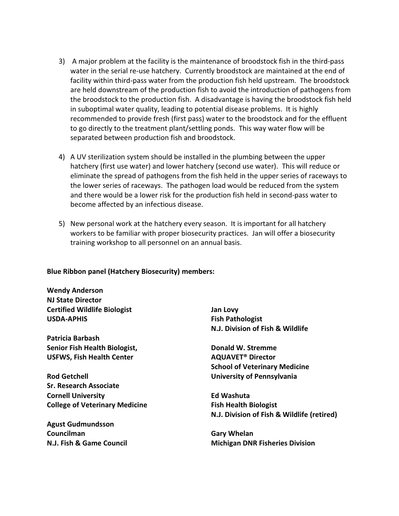- 3) A major problem at the facility is the maintenance of broodstock fish in the third-pass water in the serial re-use hatchery. Currently broodstock are maintained at the end of facility within third-pass water from the production fish held upstream. The broodstock are held downstream of the production fish to avoid the introduction of pathogens from the broodstock to the production fish. A disadvantage is having the broodstock fish held in suboptimal water quality, leading to potential disease problems. It is highly recommended to provide fresh (first pass) water to the broodstock and for the effluent to go directly to the treatment plant/settling ponds. This way water flow will be separated between production fish and broodstock.
- 4) A UV sterilization system should be installed in the plumbing between the upper hatchery (first use water) and lower hatchery (second use water). This will reduce or eliminate the spread of pathogens from the fish held in the upper series of raceways to the lower series of raceways. The pathogen load would be reduced from the system and there would be a lower risk for the production fish held in second-pass water to become affected by an infectious disease.
- 5) New personal work at the hatchery every season. It is important for all hatchery workers to be familiar with proper biosecurity practices. Jan will offer a biosecurity training workshop to all personnel on an annual basis.

#### **Blue Ribbon panel (Hatchery Biosecurity) members:**

**Wendy Anderson NJ State Director Certified Wildlife Biologist USDA-APHIS** 

**Patricia Barbash Senior Fish Health Biologist, USFWS, Fish Health Center** 

**Rod Getchell Sr. Research Associate Cornell University College of Veterinary Medicine** 

**Agust Gudmundsson Councilman N.J. Fish & Game Council**  **Jan Lovy Fish Pathologist N.J. Division of Fish & Wildlife** 

**Donald W. Stremme AQUAVET® Director School of Veterinary Medicine University of Pennsylvania** 

**Ed Washuta Fish Health Biologist N.J. Division of Fish & Wildlife (retired)** 

**Gary Whelan Michigan DNR Fisheries Division**